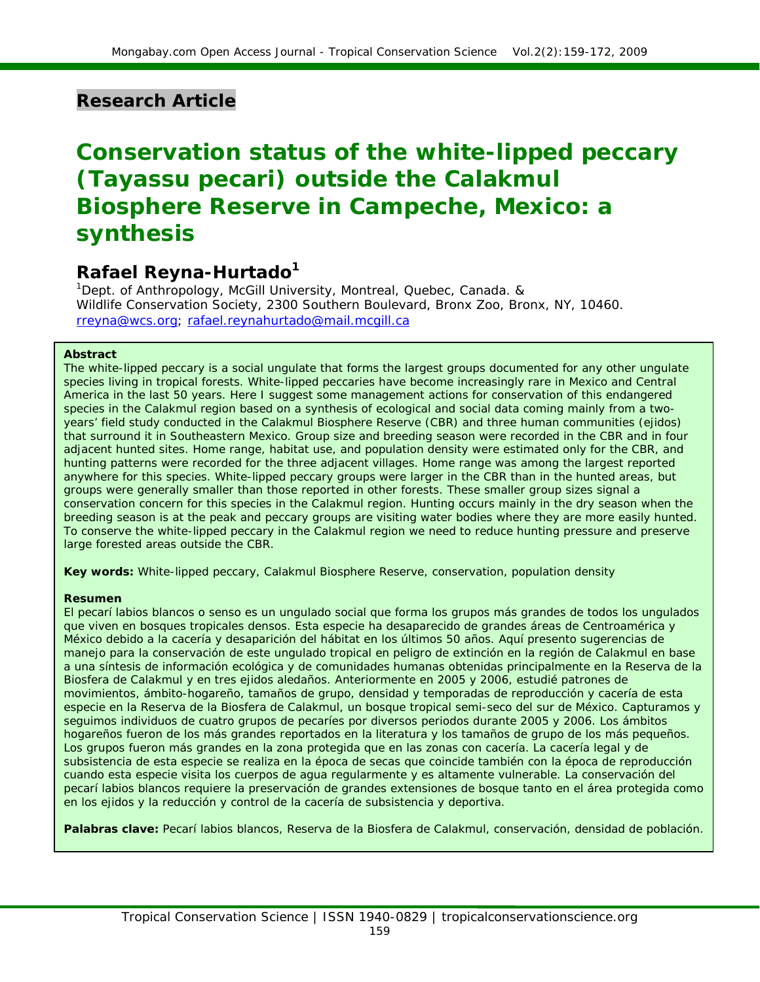# **Research Article**

# **Conservation status of the white-lipped peccary (***Tayassu pecari***) outside the Calakmul Biosphere Reserve in Campeche, Mexico: a synthesis**

# **Rafael Reyna-Hurtado1**

<sup>1</sup>Dept. of Anthropology, McGill University, Montreal, Quebec, Canada. & Wildlife Conservation Society, 2300 Southern Boulevard, Bronx Zoo, Bronx, NY, 10460. [rreyna@wcs.org](mailto:rreyna@wcs.org); [rafael.reynahurtado@mail.mcgill.ca](mailto:rafael.reynahurtado@mail.mcgill.ca)

#### **Abstract**

The white-lipped peccary is a social ungulate that forms the largest groups documented for any other ungulate species living in tropical forests. White-lipped peccaries have become increasingly rare in Mexico and Central America in the last 50 years. Here I suggest some management actions for conservation of this endangered species in the Calakmul region based on a synthesis of ecological and social data coming mainly from a twoyears' field study conducted in the Calakmul Biosphere Reserve (CBR) and three human communities (*ejidos*) that surround it in Southeastern Mexico. Group size and breeding season were recorded in the CBR and in four adjacent hunted sites. Home range, habitat use, and population density were estimated only for the CBR, and hunting patterns were recorded for the three adjacent villages. Home range was among the largest reported anywhere for this species. White-lipped peccary groups were larger in the CBR than in the hunted areas, but groups were generally smaller than those reported in other forests. These smaller group sizes signal a conservation concern for this species in the Calakmul region. Hunting occurs mainly in the dry season when the breeding season is at the peak and peccary groups are visiting water bodies where they are more easily hunted. To conserve the white-lipped peccary in the Calakmul region we need to reduce hunting pressure and preserve large forested areas outside the CBR.

**Key words:** White-lipped peccary, Calakmul Biosphere Reserve, conservation, population density

#### **Resumen**

El pecarí labios blancos o senso es un ungulado social que forma los grupos más grandes de todos los ungulados que viven en bosques tropicales densos. Esta especie ha desaparecido de grandes áreas de Centroamérica y México debido a la cacería y desaparición del hábitat en los últimos 50 años. Aquí presento sugerencias de manejo para la conservación de este ungulado tropical en peligro de extinción en la región de Calakmul en base a una síntesis de información ecológica y de comunidades humanas obtenidas principalmente en la Reserva de la Biosfera de Calakmul y en tres ejidos aledaños. Anteriormente en 2005 y 2006, estudié patrones de movimientos, ámbito-hogareño, tamaños de grupo, densidad y temporadas de reproducción y cacería de esta especie en la Reserva de la Biosfera de Calakmul, un bosque tropical semi-seco del sur de México. Capturamos y seguimos individuos de cuatro grupos de pecaríes por diversos periodos durante 2005 y 2006. Los ámbitos hogareños fueron de los más grandes reportados en la literatura y los tamaños de grupo de los más pequeños. Los grupos fueron más grandes en la zona protegida que en las zonas con cacería. La cacería legal y de subsistencia de esta especie se realiza en la época de secas que coincide también con la época de reproducción cuando esta especie visita los cuerpos de agua regularmente y es altamente vulnerable. La conservación del pecarí labios blancos requiere la preservación de grandes extensiones de bosque tanto en el área protegida como en los ejidos y la reducción y control de la cacería de subsistencia y deportiva.

**Palabras clave:** Pecarí labios blancos, Reserva de la Biosfera de Calakmul, conservación, densidad de población.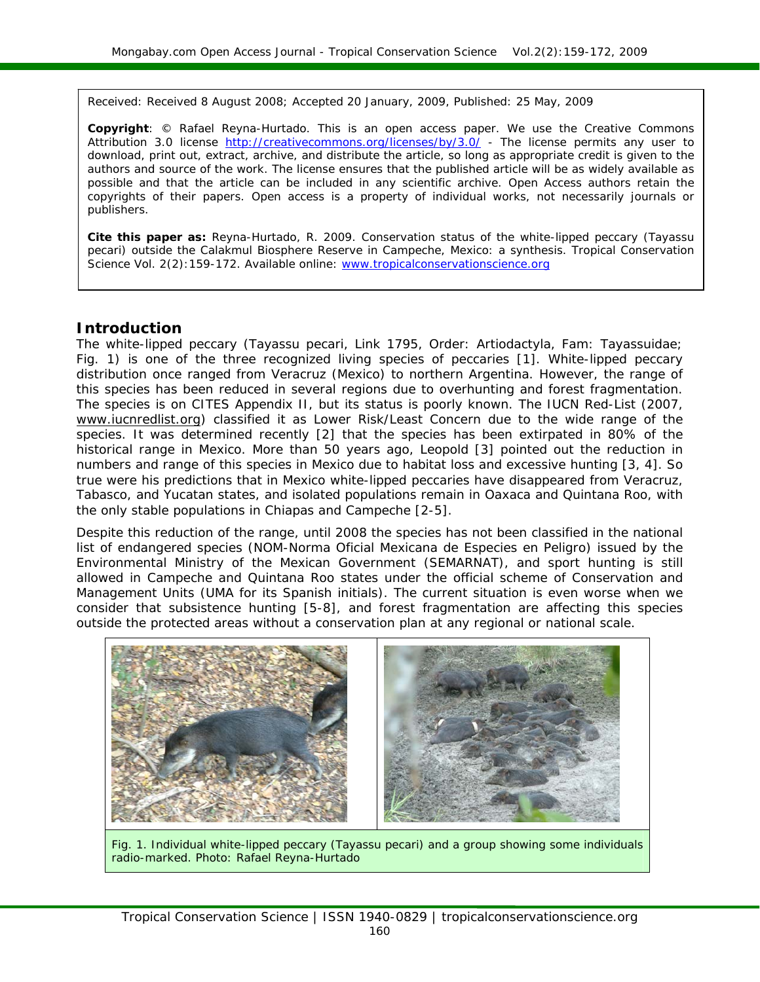Received: Received 8 August 2008; Accepted 20 January, 2009, Published: 25 May, 2009

**Copyright**: © Rafael Reyna-Hurtado. This is an open access paper. We use the Creative Commons Attribution 3.0 license <http://creativecommons.org/licenses/by/3.0/>- The license permits any user to download, print out, extract, archive, and distribute the article, so long as appropriate credit is given to the authors and source of the work. The license ensures that the published article will be as widely available as possible and that the article can be included in any scientific archive. Open Access authors retain the copyrights of their papers. Open access is a property of individual works, not necessarily journals or publishers.

**Cite this paper as:** Reyna-Hurtado, R. 2009. Conservation status of the white-lipped peccary (*Tayassu pecari*) outside the Calakmul Biosphere Reserve in Campeche, Mexico: a synthesis. *Tropical Conservation Science* Vol. 2(2):159-172. Available online: [www.tropicalconservationscience.org](http://www.tropicalconservationscience.org/)

#### **Introduction**

The white-lipped peccary (*Tayassu pecari*, Link 1795, Order: Artiodactyla, Fam: Tayassuidae; Fig. 1) is one of the three recognized living species of peccaries [1]. White-lipped peccary distribution once ranged from Veracruz (Mexico) to northern Argentina. However, the range of this species has been reduced in several regions due to overhunting and forest fragmentation. The species is on CITES Appendix II, but its status is poorly known. The IUCN Red-List (2007, [www.iucnredlist.org\)](http://www.iucnredlist.org/) classified it as Lower Risk/Least Concern due to the wide range of the species. It was determined recently [2] that the species has been extirpated in 80% of the historical range in Mexico. More than 50 years ago, Leopold [3] pointed out the reduction in numbers and range of this species in Mexico due to habitat loss and excessive hunting [3, 4]. So true were his predictions that in Mexico white-lipped peccaries have disappeared from Veracruz, Tabasco, and Yucatan states, and isolated populations remain in Oaxaca and Quintana Roo, with the only stable populations in Chiapas and Campeche [2-5].

Despite this reduction of the range, until 2008 the species has not been classified in the national list of endangered species (NOM-Norma Oficial Mexicana de Especies en Peligro) issued by the Environmental Ministry of the Mexican Government (SEMARNAT), and sport hunting is still allowed in Campeche and Quintana Roo states under the official scheme of Conservation and Management Units (UMA for its Spanish initials). The current situation is even worse when we consider that subsistence hunting [5-8], and forest fragmentation are affecting this species outside the protected areas without a conservation plan at any regional or national scale.



Fig. 1. Individual white-lipped peccary (*Tayassu pecari*) and a group showing some individuals radio-marked. Photo: Rafael Reyna-Hurtado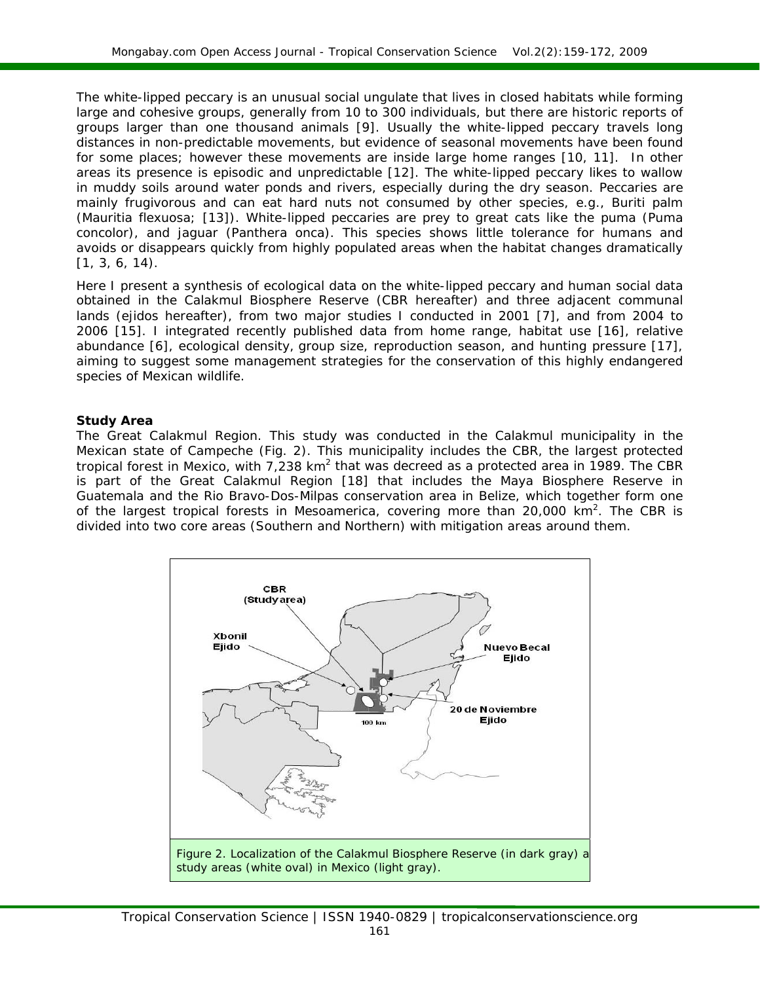The white-lipped peccary is an unusual social ungulate that lives in closed habitats while forming large and cohesive groups, generally from 10 to 300 individuals, but there are historic reports of groups larger than one thousand animals [9]. Usually the white-lipped peccary travels long distances in non-predictable movements, but evidence of seasonal movements have been found for some places; however these movements are inside large home ranges [10, 11]. In other areas its presence is episodic and unpredictable [12]. The white-lipped peccary likes to wallow in muddy soils around water ponds and rivers, especially during the dry season. Peccaries are mainly frugivorous and can eat hard nuts not consumed by other species, e.g., *Buriti* palm (*Mauritia flexuosa*; [13]). White-lipped peccaries are prey to great cats like the puma (*Puma concolor*), and jaguar (*Panthera onca*). This species shows little tolerance for humans and avoids or disappears quickly from highly populated areas when the habitat changes dramatically [1, 3, 6, 14).

Here I present a synthesis of ecological data on the white-lipped peccary and human social data obtained in the Calakmul Biosphere Reserve (CBR hereafter) and three adjacent communal lands (*ejidos* hereafter), from two major studies I conducted in 2001 [7], and from 2004 to 2006 [15]. I integrated recently published data from home range, habitat use [16], relative abundance [6], ecological density, group size, reproduction season, and hunting pressure [17], aiming to suggest some management strategies for the conservation of this highly endangered species of Mexican wildlife.

#### **Study Area**

*The Great Calakmul Region.* This study was conducted in the Calakmul municipality in the Mexican state of Campeche (Fig. 2). This municipality includes the CBR, the largest protected tropical forest in Mexico, with 7,238 km<sup>2</sup> that was decreed as a protected area in 1989. The CBR is part of the Great Calakmul Region [18] that includes the Maya Biosphere Reserve in Guatemala and the Rio Bravo-Dos-Milpas conservation area in Belize, which together form one of the largest tropical forests in Mesoamerica, covering more than 20,000  $km^2$ . The CBR is divided into two core areas (Southern and Northern) with mitigation areas around them.

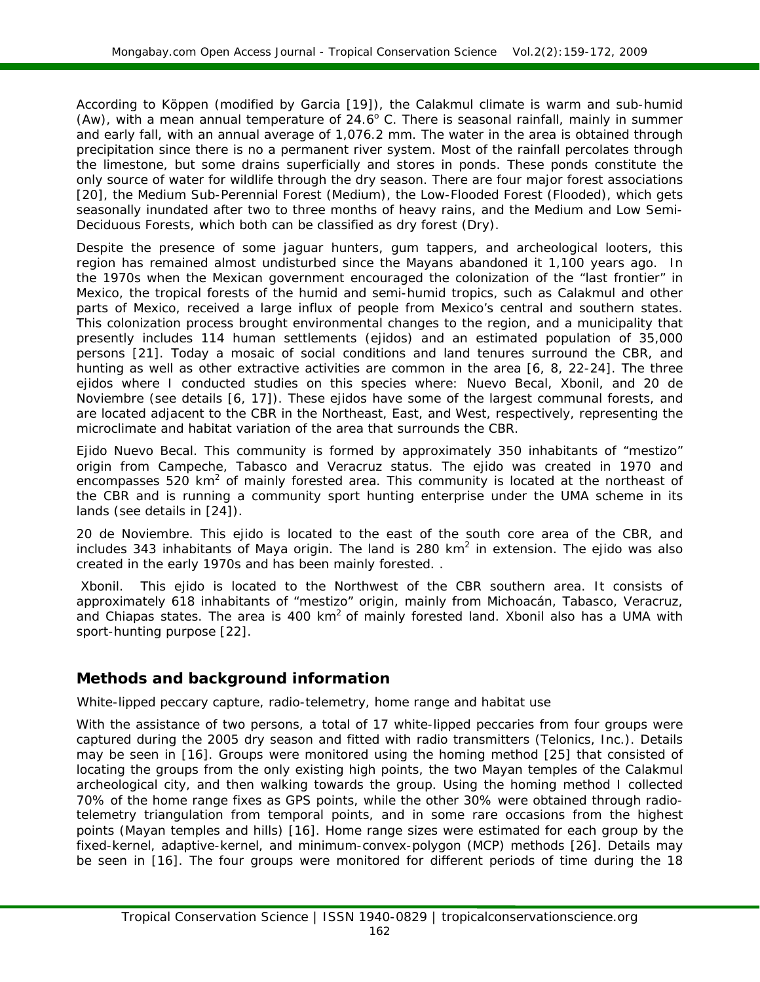According to Köppen (modified by Garcia [19]), the Calakmul climate is warm and sub-humid (Aw), with a mean annual temperature of  $24.6^{\circ}$  C. There is seasonal rainfall, mainly in summer and early fall, with an annual average of 1,076.2 mm. The water in the area is obtained through precipitation since there is no a permanent river system. Most of the rainfall percolates through the limestone, but some drains superficially and stores in ponds. These ponds constitute the only source of water for wildlife through the dry season. There are four major forest associations [20], the Medium Sub-Perennial Forest (Medium), the Low-Flooded Forest (Flooded), which gets seasonally inundated after two to three months of heavy rains, and the Medium and Low Semi-Deciduous Forests, which both can be classified as dry forest (Dry).

Despite the presence of some jaguar hunters, gum tappers, and archeological looters, this region has remained almost undisturbed since the Mayans abandoned it 1,100 years ago. In the 1970s when the Mexican government encouraged the colonization of the "last frontier" in Mexico, the tropical forests of the humid and semi-humid tropics, such as Calakmul and other parts of Mexico, received a large influx of people from Mexico's central and southern states. This colonization process brought environmental changes to the region, and a municipality that presently includes 114 human settlements (*ejidos*) and an estimated population of 35,000 persons [21]. Today a mosaic of social conditions and land tenures surround the CBR, and hunting as well as other extractive activities are common in the area [6, 8, 22-24]. The three *ejidos* where I conducted studies on this species where: Nuevo Becal, Xbonil, and 20 de Noviembre (see details [6, 17]). These *ejidos* have some of the largest communal forests, and are located adjacent to the CBR in the Northeast, East, and West, respectively, representing the microclimate and habitat variation of the area that surrounds the CBR.

*Ejido Nuevo Becal.* This community is formed by approximately 350 inhabitants of "mestizo" origin from Campeche, Tabasco and Veracruz status. The *ejido* was created in 1970 and encompasses 520 km<sup>2</sup> of mainly forested area. This community is located at the northeast of the CBR and is running a community sport hunting enterprise under the UMA scheme in its lands (see details in [24]).

*20 de Noviembre.* This *ejido* is located to the east of the south core area of the CBR, and includes 343 inhabitants of Maya origin. The land is 280 km2 in extension. The *ejido* was also created in the early 1970s and has been mainly forested. .

 *Xbonil.*This *ejido* is located to the Northwest of the CBR southern area. It consists of approximately 618 inhabitants of "mestizo" origin, mainly from Michoacán, Tabasco, Veracruz, and Chiapas states. The area is 400  $km^2$  of mainly forested land. Xbonil also has a UMA with sport-hunting purpose [22].

# **Methods and background information**

## *White-lipped peccary capture, radio-telemetry, home range and habitat use*

With the assistance of two persons, a total of 17 white-lipped peccaries from four groups were captured during the 2005 dry season and fitted with radio transmitters (Telonics, Inc.). Details may be seen in [16]. Groups were monitored using the homing method [25] that consisted of locating the groups from the only existing high points, the two Mayan temples of the Calakmul archeological city, and then walking towards the group. Using the homing method I collected 70% of the home range fixes as GPS points, while the other 30% were obtained through radiotelemetry triangulation from temporal points, and in some rare occasions from the highest points (Mayan temples and hills) [16]. Home range sizes were estimated for each group by the fixed-kernel, adaptive-kernel, and minimum-convex-polygon (MCP) methods [26]. Details may be seen in [16]. The four groups were monitored for different periods of time during the 18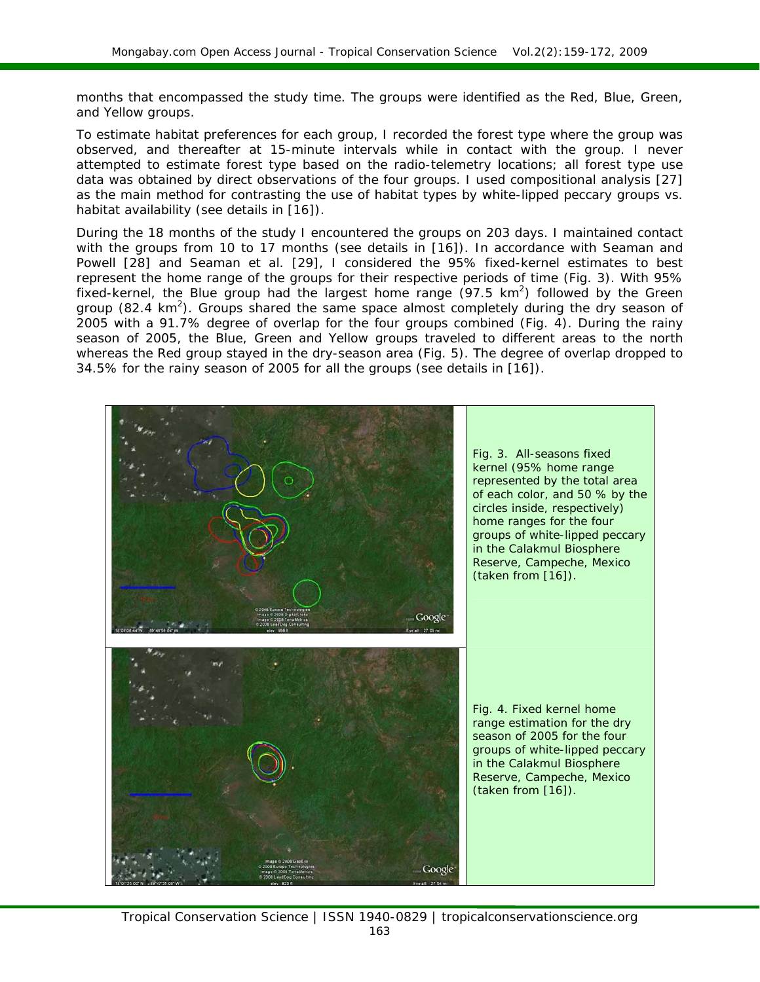months that encompassed the study time. The groups were identified as the Red, Blue, Green, and Yellow groups.

To estimate habitat preferences for each group, I recorded the forest type where the group was observed, and thereafter at 15-minute intervals while in contact with the group. I never attempted to estimate forest type based on the radio-telemetry locations; all forest type use data was obtained by direct observations of the four groups. I used compositional analysis [27] as the main method for contrasting the use of habitat types by white-lipped peccary groups vs. habitat availability (see details in [16]).

During the 18 months of the study I encountered the groups on 203 days. I maintained contact with the groups from 10 to 17 months (see details in [16]). In accordance with Seaman and Powell [28] and Seaman et al. [29], I considered the 95% fixed-kernel estimates to best represent the home range of the groups for their respective periods of time (Fig. 3). With 95% fixed-kernel, the Blue group had the largest home range  $(97.5 \text{ km}^2)$  followed by the Green group (82.4  $km^2$ ). Groups shared the same space almost completely during the dry season of 2005 with a 91.7% degree of overlap for the four groups combined (Fig. 4). During the rainy season of 2005, the Blue, Green and Yellow groups traveled to different areas to the north whereas the Red group stayed in the dry-season area (Fig. 5). The degree of overlap dropped to 34.5% for the rainy season of 2005 for all the groups (see details in [16]).

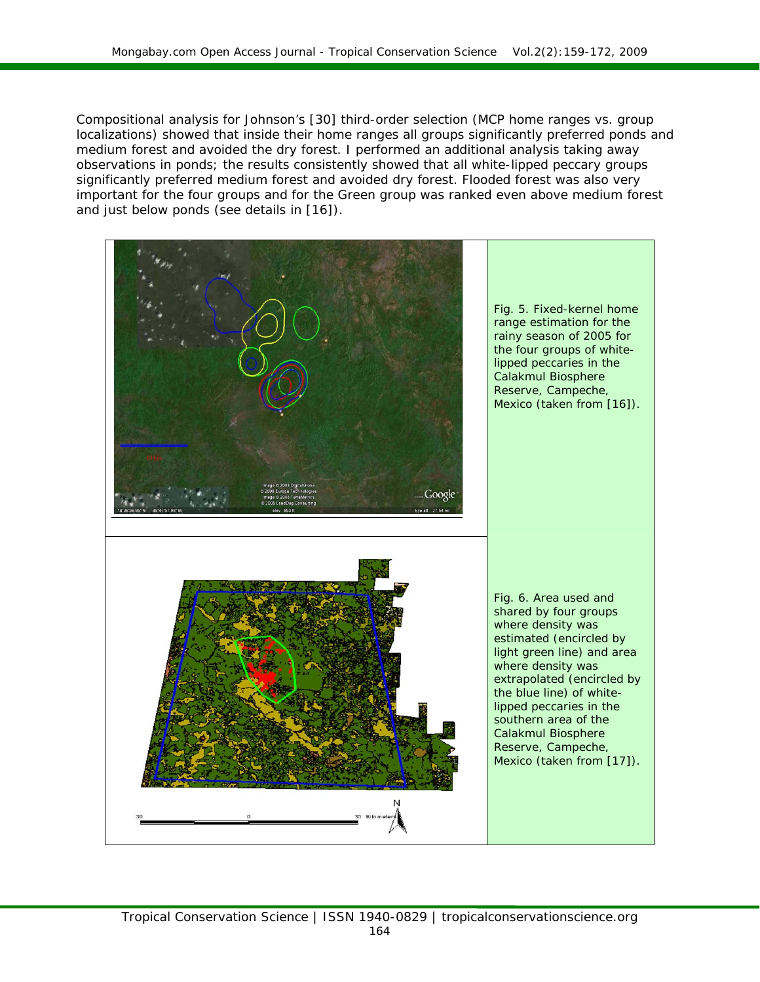Compositional analysis for Johnson's [30] third-order selection (MCP home ranges vs. group localizations) showed that inside their home ranges all groups significantly preferred ponds and medium forest and avoided the dry forest. I performed an additional analysis taking away observations in ponds; the results consistently showed that all white-lipped peccary groups significantly preferred medium forest and avoided dry forest. Flooded forest was also very important for the four groups and for the Green group was ranked even above medium forest and just below ponds (see details in [16]).

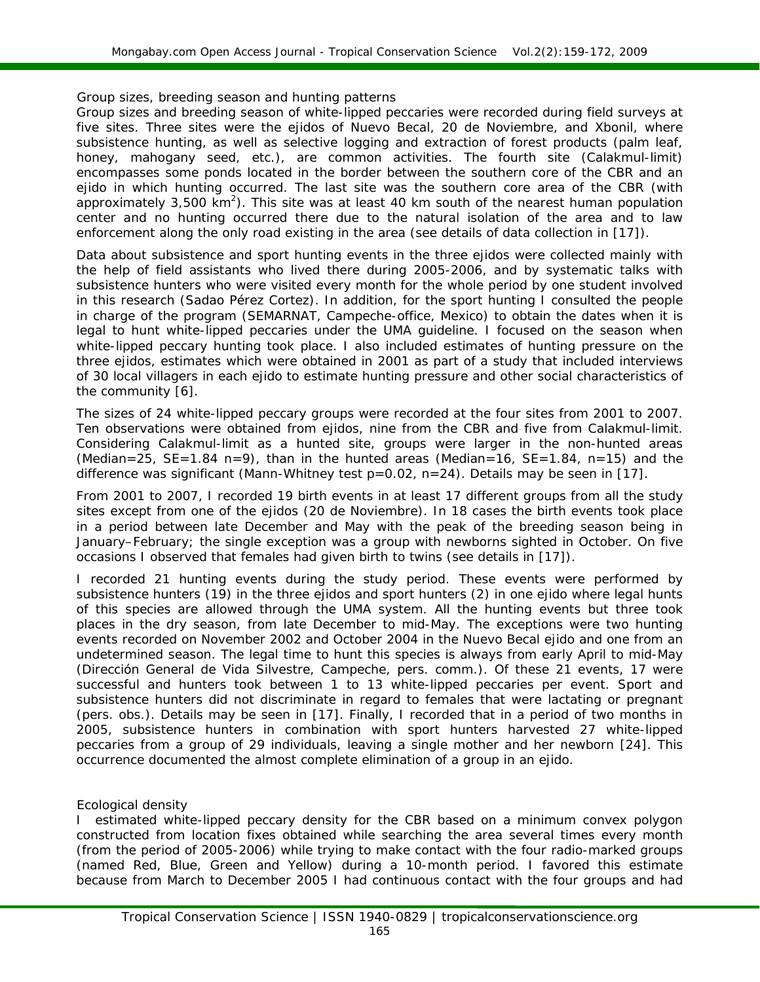#### *Group sizes, breeding season and hunting patterns*

Group sizes and breeding season of white-lipped peccaries were recorded during field surveys at five sites. Three sites were the *ejidos* of Nuevo Becal, 20 de Noviembre, and Xbonil, where subsistence hunting, as well as selective logging and extraction of forest products (palm leaf, honey, mahogany seed, etc.), are common activities. The fourth site (Calakmul-limit) encompasses some ponds located in the border between the southern core of the CBR and an *ejido* in which hunting occurred. The last site was the southern core area of the CBR (with approximately  $3,500 \text{ km}^2$ ). This site was at least 40 km south of the nearest human population center and no hunting occurred there due to the natural isolation of the area and to law enforcement along the only road existing in the area (see details of data collection in [17])*.*

Data about subsistence and sport hunting events in the three *ejidos* were collected mainly with the help of field assistants who lived there during 2005-2006, and by systematic talks with subsistence hunters who were visited every month for the whole period by one student involved in this research (Sadao Pérez Cortez). In addition, for the sport hunting I consulted the people in charge of the program (SEMARNAT, Campeche-office, Mexico) to obtain the dates when it is legal to hunt white-lipped peccaries under the UMA guideline. I focused on the season when white-lipped peccary hunting took place. I also included estimates of hunting pressure on the three *ejidos*, estimates which were obtained in 2001 as part of a study that included interviews of 30 local villagers in each *ejido* to estimate hunting pressure and other social characteristics of the community [6].

The sizes of 24 white-lipped peccary groups were recorded at the four sites from 2001 to 2007. Ten observations were obtained from *ejidos*, nine from the CBR and five from Calakmul-limit. Considering Calakmul-limit as a hunted site, groups were larger in the non-hunted areas (Median=25,  $SE=1.84$  n=9), than in the hunted areas (Median=16,  $SE=1.84$ , n=15) and the difference was significant (*Mann-Whitney* test p=0.02, n=24). Details may be seen in [17].

From 2001 to 2007, I recorded 19 birth events in at least 17 different groups from all the study sites except from one of the *ejidos* (20 de Noviembre). In 18 cases the birth events took place in a period between late December and May with the peak of the breeding season being in January–February; the single exception was a group with newborns sighted in October. On five occasions I observed that females had given birth to twins (see details in [17]).

I recorded 21 hunting events during the study period. These events were performed by subsistence hunters (19) in the three *ejidos* and sport hunters (2) in one *ejido* where legal hunts of this species are allowed through the UMA system. All the hunting events but three took places in the dry season, from late December to mid-May. The exceptions were two hunting events recorded on November 2002 and October 2004 in the Nuevo Becal *ejido* and one from an undetermined season. The legal time to hunt this species is always from early April to mid-May (Dirección General de Vida Silvestre, Campeche, pers. comm.). Of these 21 events, 17 were successful and hunters took between 1 to 13 white-lipped peccaries per event. Sport and subsistence hunters did not discriminate in regard to females that were lactating or pregnant (pers. obs.). Details may be seen in [17]. Finally, I recorded that in a period of two months in 2005, subsistence hunters in combination with sport hunters harvested 27 white-lipped peccaries from a group of 29 individuals, leaving a single mother and her newborn [24]. This occurrence documented the almost complete elimination of a group in an *ejido.*

#### *Ecological density*

I estimated white-lipped peccary density for the CBR based on a minimum convex polygon constructed from location fixes obtained while searching the area several times every month (from the period of 2005-2006) while trying to make contact with the four radio-marked groups (named Red, Blue, Green and Yellow) during a 10-month period. I favored this estimate because from March to December 2005 I had continuous contact with the four groups and had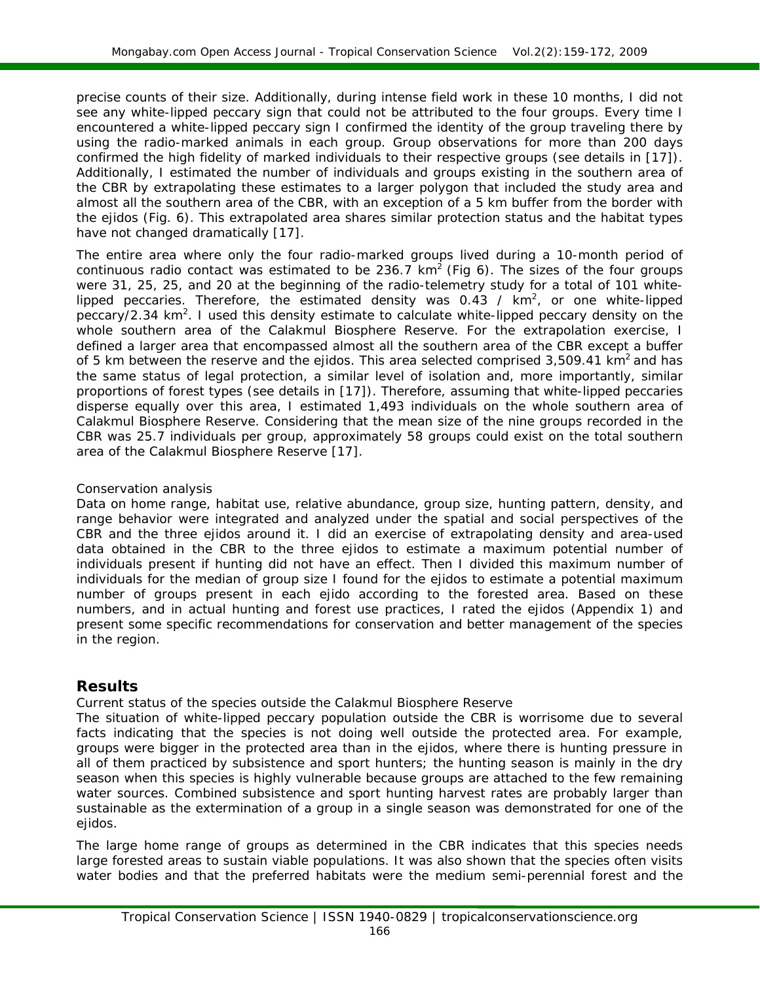precise counts of their size. Additionally, during intense field work in these 10 months, I did not see any white-lipped peccary sign that could not be attributed to the four groups. Every time I encountered a white-lipped peccary sign I confirmed the identity of the group traveling there by using the radio-marked animals in each group. Group observations for more than 200 days confirmed the high fidelity of marked individuals to their respective groups (see details in [17]). Additionally, I estimated the number of individuals and groups existing in the southern area of the CBR by extrapolating these estimates to a larger polygon that included the study area and almost all the southern area of the CBR, with an exception of a 5 km buffer from the border with the *ejidos* (Fig. 6). This extrapolated area shares similar protection status and the habitat types have not changed dramatically [17].

The entire area where only the four radio-marked groups lived during a 10-month period of continuous radio contact was estimated to be 236.7  $km^2$  (Fig 6). The sizes of the four groups were 31, 25, 25, and 20 at the beginning of the radio-telemetry study for a total of 101 whitelipped peccaries. Therefore, the estimated density was 0.43 /  $km^2$ , or one white-lipped peccary/2.34  $km^2$ . I used this density estimate to calculate white-lipped peccary density on the whole southern area of the Calakmul Biosphere Reserve. For the extrapolation exercise, I defined a larger area that encompassed almost all the southern area of the CBR except a buffer of 5 km between the reserve and the *ejidos*. This area selected comprised 3,509.41 km<sup>2</sup> and has the same status of legal protection, a similar level of isolation and, more importantly, similar proportions of forest types (see details in [17]). Therefore, assuming that white-lipped peccaries disperse equally over this area, I estimated 1,493 individuals on the whole southern area of Calakmul Biosphere Reserve. Considering that the mean size of the nine groups recorded in the CBR was 25.7 individuals per group, approximately 58 groups could exist on the total southern area of the Calakmul Biosphere Reserve [17].

#### *Conservation analysis*

Data on home range, habitat use, relative abundance, group size, hunting pattern, density, and range behavior were integrated and analyzed under the spatial and social perspectives of the CBR and the three *ejidos* around it. I did an exercise of extrapolating density and area-used data obtained in the CBR to the three *ejidos* to estimate a maximum potential number of individuals present if hunting did not have an effect. Then I divided this maximum number of individuals for the median of group size I found for the *ejidos* to estimate a potential maximum number of groups present in each *ejido* according to the forested area. Based on these numbers, and in actual hunting and forest use practices, I rated the *ejidos* (Appendix 1) and present some specific recommendations for conservation and better management of the species in the region.

## **Results**

#### *Current status of the species outside the Calakmul Biosphere Reserve*

The situation of white-lipped peccary population outside the CBR is worrisome due to several facts indicating that the species is not doing well outside the protected area. For example, groups were bigger in the protected area than in the *ejidos,* where there is hunting pressure in all of them practiced by subsistence and sport hunters; the hunting season is mainly in the dry season when this species is highly vulnerable because groups are attached to the few remaining water sources. Combined subsistence and sport hunting harvest rates are probably larger than sustainable as the extermination of a group in a single season was demonstrated for one of the *ejidos*.

The large home range of groups as determined in the CBR indicates that this species needs large forested areas to sustain viable populations. It was also shown that the species often visits water bodies and that the preferred habitats were the medium semi-perennial forest and the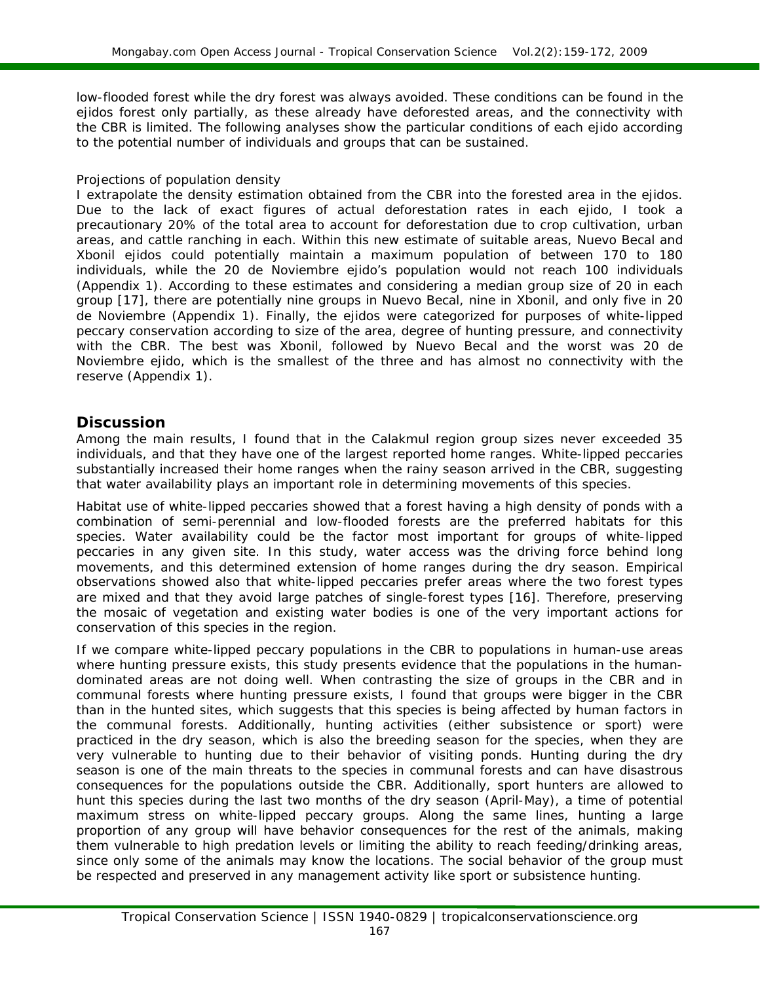low-flooded forest while the dry forest was always avoided. These conditions can be found in the *ejidos* forest only partially, as these already have deforested areas, and the connectivity with the CBR is limited. The following analyses show the particular conditions of each *ejido* according to the potential number of individuals and groups that can be sustained.

#### *Projections of population density*

I extrapolate the density estimation obtained from the CBR into the forested area in the *ejidos*. Due to the lack of exact figures of actual deforestation rates in each *ejido,* I took a precautionary 20% of the total area to account for deforestation due to crop cultivation, urban areas, and cattle ranching in each. Within this new estimate of suitable areas, Nuevo Becal and Xbonil *ejidos* could potentially maintain a maximum population of between 170 to 180 individuals, while the 20 de Noviembre *ejido'*s population would not reach 100 individuals (Appendix 1). According to these estimates and considering a median group size of 20 in each group [17], there are potentially nine groups in Nuevo Becal, nine in Xbonil, and only five in 20 de Noviembre (Appendix 1). Finally, the *ejidos* were categorized for purposes of white-lipped peccary conservation according to size of the area, degree of hunting pressure, and connectivity with the CBR. The best was Xbonil, followed by Nuevo Becal and the worst was 20 de Noviembre *ejido,* which is the smallest of the three and has almost no connectivity with the reserve (Appendix 1).

# **Discussion**

Among the main results, I found that in the Calakmul region group sizes never exceeded 35 individuals, and that they have one of the largest reported home ranges. White-lipped peccaries substantially increased their home ranges when the rainy season arrived in the CBR, suggesting that water availability plays an important role in determining movements of this species.

Habitat use of white-lipped peccaries showed that a forest having a high density of ponds with a combination of semi-perennial and low-flooded forests are the preferred habitats for this species. Water availability could be the factor most important for groups of white-lipped peccaries in any given site. In this study, water access was the driving force behind long movements, and this determined extension of home ranges during the dry season. Empirical observations showed also that white-lipped peccaries prefer areas where the two forest types are mixed and that they avoid large patches of single-forest types [16]. Therefore, preserving the mosaic of vegetation and existing water bodies is one of the very important actions for conservation of this species in the region.

If we compare white-lipped peccary populations in the CBR to populations in human-use areas where hunting pressure exists, this study presents evidence that the populations in the humandominated areas are not doing well. When contrasting the size of groups in the CBR and in communal forests where hunting pressure exists, I found that groups were bigger in the CBR than in the hunted sites, which suggests that this species is being affected by human factors in the communal forests. Additionally, hunting activities (either subsistence or sport) were practiced in the dry season, which is also the breeding season for the species, when they are very vulnerable to hunting due to their behavior of visiting ponds. Hunting during the dry season is one of the main threats to the species in communal forests and can have disastrous consequences for the populations outside the CBR. Additionally, sport hunters are allowed to hunt this species during the last two months of the dry season (April-May), a time of potential maximum stress on white-lipped peccary groups. Along the same lines, hunting a large proportion of any group will have behavior consequences for the rest of the animals, making them vulnerable to high predation levels or limiting the ability to reach feeding/drinking areas, since only some of the animals may know the locations. The social behavior of the group must be respected and preserved in any management activity like sport or subsistence hunting.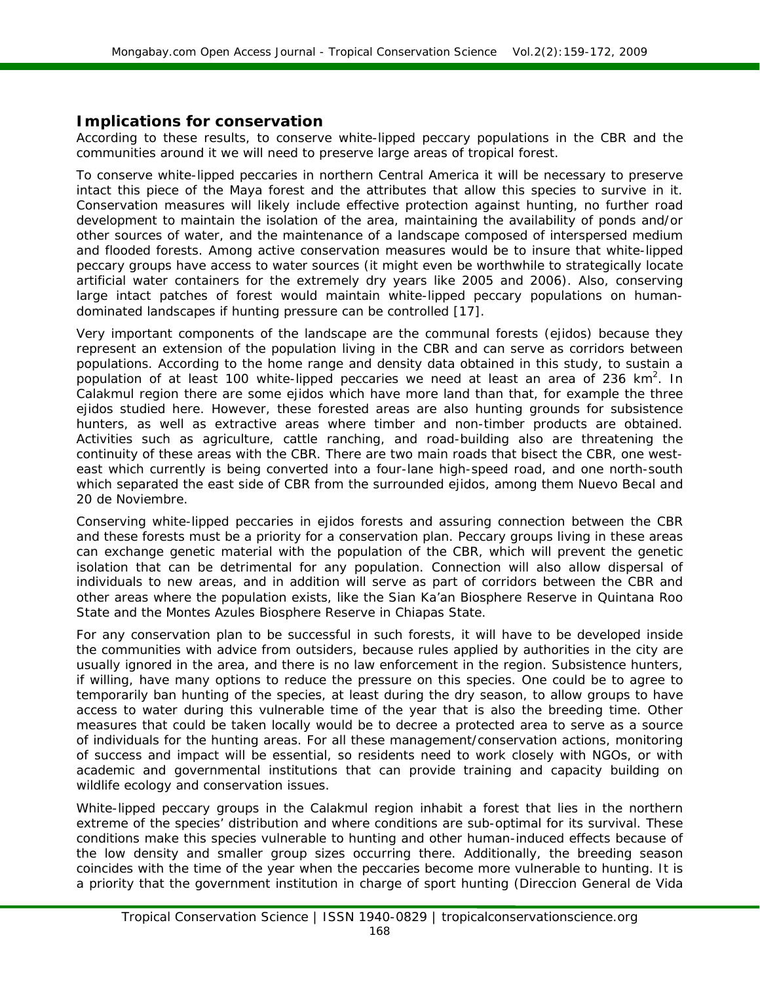# **Implications for conservation**

According to these results, to conserve white-lipped peccary populations in the CBR and the communities around it we will need to preserve large areas of tropical forest.

To conserve white-lipped peccaries in northern Central America it will be necessary to preserve intact this piece of the Maya forest and the attributes that allow this species to survive in it. Conservation measures will likely include effective protection against hunting, no further road development to maintain the isolation of the area, maintaining the availability of ponds and/or other sources of water, and the maintenance of a landscape composed of interspersed medium and flooded forests. Among active conservation measures would be to insure that white-lipped peccary groups have access to water sources (it might even be worthwhile to strategically locate artificial water containers for the extremely dry years like 2005 and 2006). Also, conserving large intact patches of forest would maintain white-lipped peccary populations on humandominated landscapes if hunting pressure can be controlled [17].

Very important components of the landscape are the communal forests (*ejidos*) because they represent an extension of the population living in the CBR and can serve as corridors between populations. According to the home range and density data obtained in this study, to sustain a population of at least 100 white-lipped peccaries we need at least an area of 236 km<sup>2</sup>. In Calakmul region there are some *ejidos* which have more land than that, for example the three *ejidos* studied here. However, these forested areas are also hunting grounds for subsistence hunters, as well as extractive areas where timber and non-timber products are obtained. Activities such as agriculture, cattle ranching, and road-building also are threatening the continuity of these areas with the CBR. There are two main roads that bisect the CBR, one westeast which currently is being converted into a four-lane high-speed road, and one north-south which separated the east side of CBR from the surrounded *ejidos*, among them Nuevo Becal and 20 de Noviembre.

Conserving white-lipped peccaries in *ejidos* forests and assuring connection between the CBR and these forests must be a priority for a conservation plan. Peccary groups living in these areas can exchange genetic material with the population of the CBR, which will prevent the genetic isolation that can be detrimental for any population. Connection will also allow dispersal of individuals to new areas, and in addition will serve as part of corridors between the CBR and other areas where the population exists, like the Sian Ka'an Biosphere Reserve in Quintana Roo State and the Montes Azules Biosphere Reserve in Chiapas State.

For any conservation plan to be successful in such forests, it will have to be developed inside the communities with advice from outsiders, because rules applied by authorities in the city are usually ignored in the area, and there is no law enforcement in the region. Subsistence hunters, if willing, have many options to reduce the pressure on this species. One could be to agree to temporarily ban hunting of the species, at least during the dry season, to allow groups to have access to water during this vulnerable time of the year that is also the breeding time. Other measures that could be taken locally would be to decree a protected area to serve as a source of individuals for the hunting areas. For all these management/conservation actions, monitoring of success and impact will be essential, so residents need to work closely with NGOs, or with academic and governmental institutions that can provide training and capacity building on wildlife ecology and conservation issues.

White-lipped peccary groups in the Calakmul region inhabit a forest that lies in the northern extreme of the species' distribution and where conditions are sub-optimal for its survival. These conditions make this species vulnerable to hunting and other human-induced effects because of the low density and smaller group sizes occurring there. Additionally, the breeding season coincides with the time of the year when the peccaries become more vulnerable to hunting. It is a priority that the government institution in charge of sport hunting (Direccion General de Vida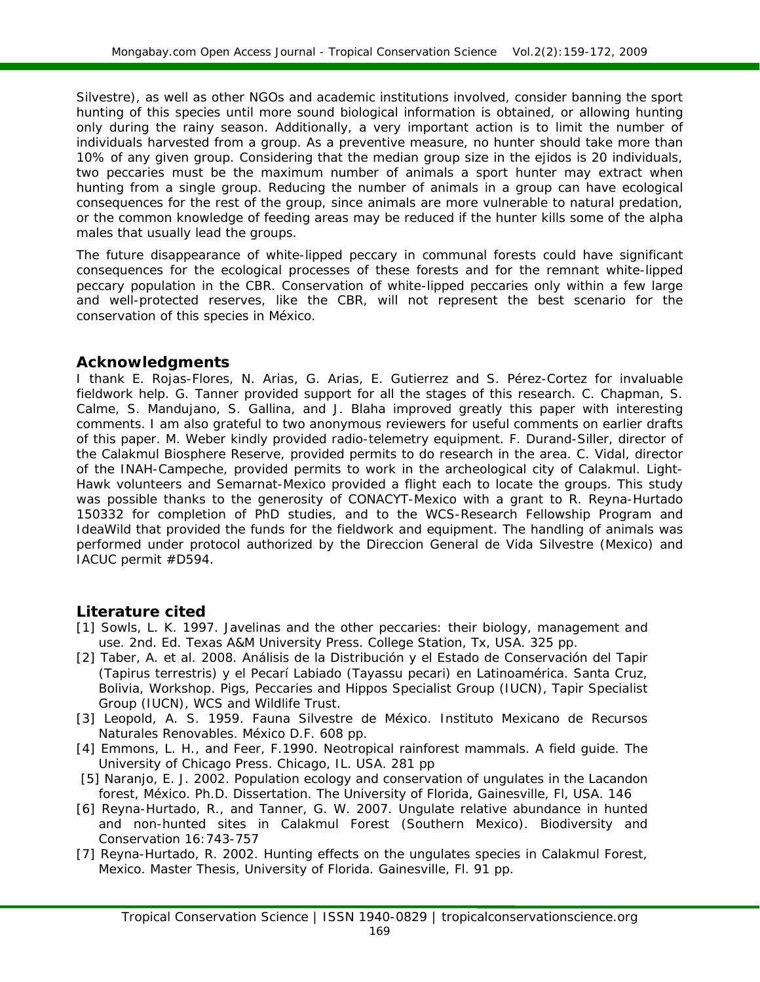Silvestre), as well as other NGOs and academic institutions involved, consider banning the sport hunting of this species until more sound biological information is obtained, or allowing hunting only during the rainy season. Additionally, a very important action is to limit the number of individuals harvested from a group. As a preventive measure, no hunter should take more than 10% of any given group. Considering that the median group size in the *ejidos* is 20 individuals, two peccaries must be the maximum number of animals a sport hunter may extract when hunting from a single group. Reducing the number of animals in a group can have ecological consequences for the rest of the group, since animals are more vulnerable to natural predation, or the common knowledge of feeding areas may be reduced if the hunter kills some of the alpha males that usually lead the groups.

The future disappearance of white-lipped peccary in communal forests could have significant consequences for the ecological processes of these forests and for the remnant white-lipped peccary population in the CBR. Conservation of white-lipped peccaries only within a few large and well-protected reserves, like the CBR, will not represent the best scenario for the conservation of this species in México.

# **Acknowledgments**

I thank E. Rojas-Flores, N. Arias, G. Arias, E. Gutierrez and S. Pérez-Cortez for invaluable fieldwork help. G. Tanner provided support for all the stages of this research. C. Chapman, S. Calme, S. Mandujano, S. Gallina, and J. Blaha improved greatly this paper with interesting comments. I am also grateful to two anonymous reviewers for useful comments on earlier drafts of this paper. M. Weber kindly provided radio-telemetry equipment. F. Durand-Siller, director of the Calakmul Biosphere Reserve, provided permits to do research in the area. C. Vidal, director of the INAH-Campeche, provided permits to work in the archeological city of Calakmul. Light-Hawk volunteers and Semarnat-Mexico provided a flight each to locate the groups. This study was possible thanks to the generosity of CONACYT-Mexico with a grant to R. Reyna-Hurtado 150332 for completion of PhD studies, and to the WCS-Research Fellowship Program and IdeaWild that provided the funds for the fieldwork and equipment. The handling of animals was performed under protocol authorized by the Direccion General de Vida Silvestre (Mexico) and IACUC permit #D594.

# **Literature cited**

- [1] Sowls, L. K. 1997. *Javelinas and the other peccaries: their biology, management and use*. 2nd. Ed. Texas A&M University Press. College Station, Tx, USA. 325 pp.
- [2] Taber, A. et al. 2008*.* Análisis de la Distribución y el Estado de Conservación del Tapir (*Tapirus terrestris*) y el Pecarí Labiado (*Tayassu pecari*) en Latinoamérica. Santa Cruz, Bolivia, Workshop. Pigs, Peccaries and Hippos Specialist Group (IUCN), Tapir Specialist Group (IUCN), WCS and Wildlife Trust.
- [3] Leopold, A. S. 1959. *Fauna Silvestre de México.* Instituto Mexicano de Recursos Naturales Renovables. México D.F. 608 pp.
- [4] Emmons, L. H., and Feer, F.1990. *Neotropical rainforest mammals. A field guide.* The University of Chicago Press. Chicago, IL. USA. 281 pp
- [5] Naranjo, E. J. 2002. Population ecology and conservation of ungulates in the Lacandon forest, México. *Ph.D. Dissertation.* The University of Florida, Gainesville, Fl, USA. 146
- [6] Reyna-Hurtado, R., and Tanner, G. W. 2007. Ungulate relative abundance in hunted and non-hunted sites in Calakmul Forest (Southern Mexico). *Biodiversity and Conservation* 16:743-757
- [7] Reyna-Hurtado, R. 2002. Hunting effects on the ungulates species in Calakmul Forest, Mexico. *Master Thesis,* University of Florida. Gainesville, Fl. 91 pp.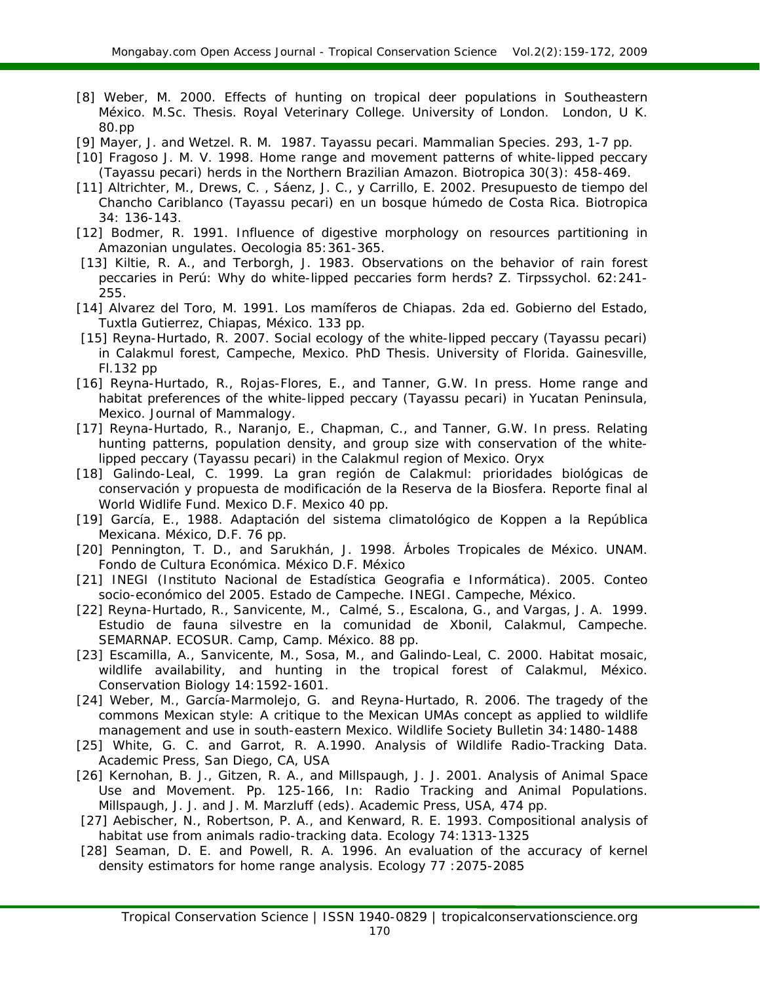- [8] Weber, M. 2000. Effects of hunting on tropical deer populations in Southeastern México. *M.Sc. Thesis*. Royal Veterinary College. University of London. London, U K. 80.pp
- [9] Mayer, J. and Wetzel. R. M. 1987. *Tayassu pecari.* Mammalian Species. 293, 1-7 pp.
- [10] Fragoso J. M. V. 1998. Home range and movement patterns of white-lipped peccary (*Tayassu pecari*) herds in the Northern Brazilian Amazon. *Biotropica* 30(3): 458-469.
- [11] Altrichter, M., Drews, C. , Sáenz, J. C., y Carrillo, E. 2002. Presupuesto de tiempo del Chancho Cariblanco (*Tayassu pecari*) en un bosque húmedo de Costa Rica. *Biotropica* 34: 136-143.
- [12] Bodmer, R. 1991. Influence of digestive morphology on resources partitioning in Amazonian ungulates. *Oecologia* 85:361-365.
- [13] Kiltie, R. A., and Terborgh, J. 1983. Observations on the behavior of rain forest peccaries in Perú: Why do white-lipped peccaries form herds? *Z. Tirpssychol.* 62:241- 255.
- [14] Alvarez del Toro, M. 1991. *Los mamíferos de Chiapas.* 2da ed. Gobierno del Estado, Tuxtla Gutierrez, Chiapas, México. 133 pp.
- [15] Reyna-Hurtado, R. 2007. Social ecology of the white-lipped peccary (*Tayassu pecari*) in Calakmul forest, Campeche, Mexico. PhD Thesis. University of Florida. Gainesville, Fl.132 pp
- [16] Reyna-Hurtado, R., Rojas-Flores, E., and Tanner, G.W. *In press*. Home range and habitat preferences of the white-lipped peccary (*Tayassu pecari*) in Yucatan Peninsula, Mexico. *Journal of Mammalogy.*
- [17] Reyna-Hurtado, R., Naranjo, E., Chapman, C., and Tanner, G.W. *In press*. Relating hunting patterns, population density, and group size with conservation of the whitelipped peccary (*Tayassu pecari*) in the Calakmul region of Mexico. *Oryx*
- [18] Galindo-Leal, C. 1999. *La gran región de Calakmul: prioridades biológicas de conservación y propuesta de modificación de la Reserva de la Biosfera.* Reporte final al World Widlife Fund. Mexico D.F. Mexico 40 pp.
- [19] García, E., 1988. *Adaptación del sistema climatológico de Koppen a la República Mexicana.* México, D.F. 76 pp.
- [20] Pennington, T. D., and Sarukhán, J. 1998. *Árboles Tropicales de México.* UNAM. Fondo de Cultura Económica. México D.F. México
- [21] INEGI (Instituto Nacional de Estadística Geografia e Informática). 2005. *Conteo socio-económico del 2005.* Estado de Campeche. INEGI. Campeche, México.
- [22] Reyna-Hurtado, R., Sanvicente, M., Calmé, S., Escalona, G., and Vargas, J. A. 1999. *Estudio de fauna silvestre en la comunidad de Xbonil, Calakmul, Campeche. S*EMARNAP. ECOSUR. Camp, Camp. México. 88 pp.
- [23] Escamilla, A., Sanvicente, M., Sosa, M., and Galindo-Leal, C. 2000. Habitat mosaic, wildlife availability, and hunting in the tropical forest of Calakmul, México. *Conservation Biology* 14:1592-1601.
- [24] Weber, M., García-Marmolejo, G. and Reyna-Hurtado, R. 2006. The tragedy of the commons Mexican style: A critique to the Mexican UMAs concept as applied to wildlife management and use in south-eastern Mexico. *Wildlife Society Bulletin* 34:1480-1488
- [25] White, G. C. and Garrot, R. A.1990. *Analysis of Wildlife Radio-Tracking Data.*  Academic Press, San Diego, CA, USA
- [26] Kernohan, B. J., Gitzen, R. A., and Millspaugh, J. J. 2001. *Analysis of Animal Space Use and Movement.* Pp. 125-166, In: *Radio Tracking and Animal Populations.* Millspaugh, J. J. and J. M. Marzluff (eds). Academic Press, USA, 474 pp.
- [27] Aebischer, N., Robertson, P. A., and Kenward, R. E. 1993. Compositional analysis of habitat use from animals radio-tracking data. *Ecology* 74:1313-1325
- [28] Seaman, D. E. and Powell, R. A. 1996. An evaluation of the accuracy of kernel density estimators for home range analysis. *Ecology* 77 :2075-2085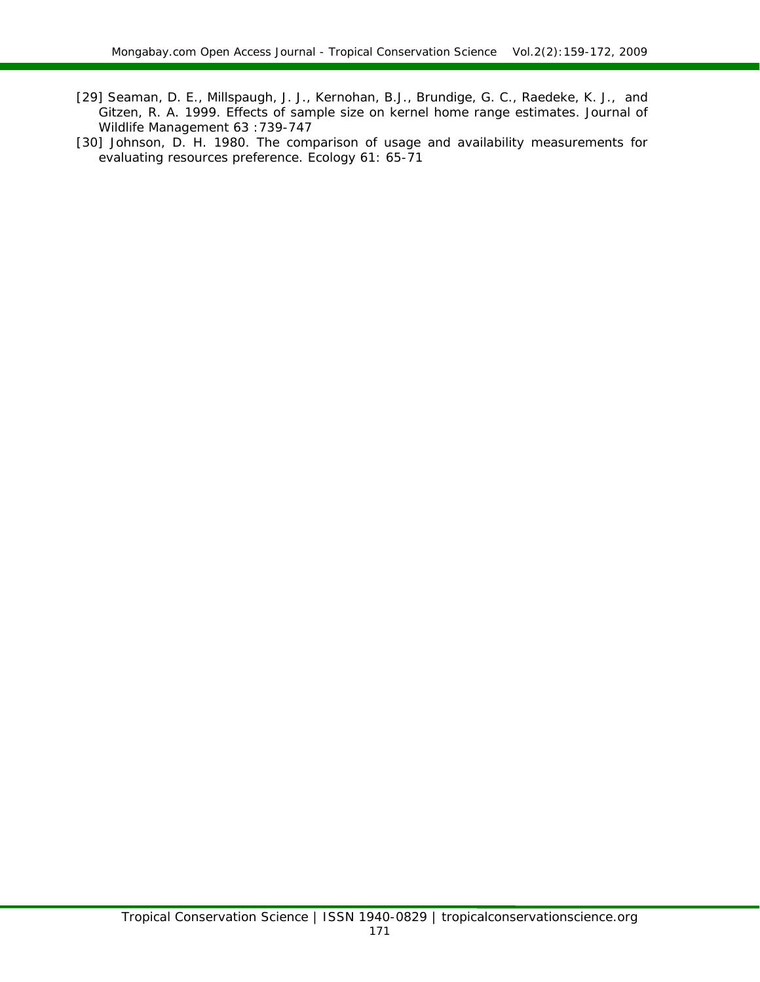- [29] Seaman, D. E., Millspaugh, J. J., Kernohan, B.J., Brundige, G. C., Raedeke, K. J., and Gitzen, R. A. 1999. Effects of sample size on kernel home range estimates. *Journal of Wildlife Management* 63 :739-747
- [30] Johnson, D. H. 1980. The comparison of usage and availability measurements for evaluating resources preference. Ecology 61: 65-71